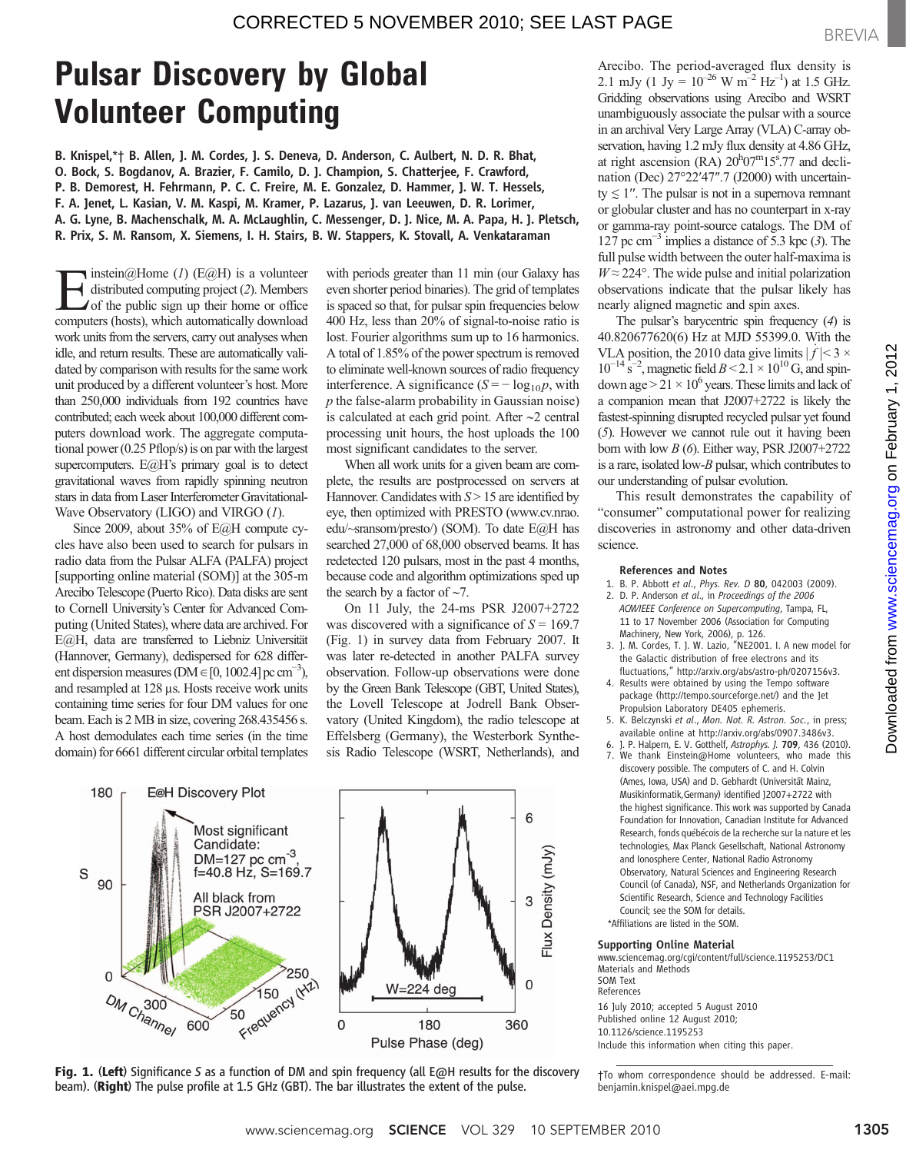# **Pulsar Discovery by Global<br>Volunteer Computing**

Volunteer Computing B. Knispel,\**†* B. Allen, J. M. Cordes, J. S. Deneva, D. Anderson, C. Aulbert, N. D. R. Bhat, O. Bock, S. Bogdanov, A. Brazier, F. Camilo, D. J. Champion, S. Chatterjee, F. Crawford, P. B. Demorest, H. Fehrmann, P. C. C. Freire, M. E. Gonzalez, D. Hammer, J. W. T. Hessels, F. A. Jenet, L. Kasian, V. M. Kaspi, M. Kramer, P. Lazarus, J. van Leeuwen, D. R. Lorimer, A. G. Lyne, B. Machenschalk, M. A. McLaughlin, C. Messenger, D. J. Nice, M. A. Papa, H. J. Pletsch, R. Prix, S. M. Ransom, X. Siemens, I. H. Stairs, B. W. Stappers, K. Stovall, A. Venkataraman

instein@Home  $(I)$  (E@H) is a volunteer distributed computing project (2). Members of the public sign up their home or office computers (hosts), which automatically download work units from the servers, carry out analyses when idle, and return results. These are automatically validated by comparison with results for the same work unit produced by a different volunteer's host. More than 250,000 individuals from 192 countries have contributed; each week about 100,000 different computers download work. The aggregate computational power (0.25 Pflop/s) is on par with the largest supercomputers. E@H's primary goal is to detect gravitational waves from rapidly spinning neutron stars in data from Laser Interferometer Gravitational-Wave Observatory (LIGO) and VIRGO (1).

Since 2009, about 35% of E@H compute cycles have also been used to search for pulsars in radio data from the Pulsar ALFA (PALFA) project [supporting online material (SOM)] at the 305-m Arecibo Telescope (Puerto Rico). Data disks are sent to Cornell University's Center for Advanced Computing (United States), where data are archived. For E@H, data are transferred to Liebniz Universität (Hannover, Germany), dedispersed for 628 different dispersion measures (DM  $\in$  [0, 1002.4] pc cm<sup>-3</sup>), and resampled at 128 µs. Hosts receive work units containing time series for four DM values for one beam. Each is 2 MB in size, covering 268.435456 s. A host demodulates each time series (in the time domain) for 6661 different circular orbital templates

with periods greater than 11 min (our Galaxy has even shorter period binaries). The grid of templates is spaced so that, for pulsar spin frequencies below 400 Hz, less than 20% of signal-to-noise ratio is lost. Fourier algorithms sum up to 16 harmonics. A total of 1.85% of the power spectrum is removed to eliminate well-known sources of radio frequency interference. A significance  $(S = -\log_{10} p, \text{ with}$  $p$  the false-alarm probability in Gaussian noise) is calculated at each grid point. After ∼2 central processing unit hours, the host uploads the 100 most significant candidates to the server.

When all work units for a given beam are complete, the results are postprocessed on servers at Hannover. Candidates with  $S > 15$  are identified by eye, then optimized with PRESTO (www.cv.nrao. edu/~sransom/presto/) (SOM). To date E@H has searched 27,000 of 68,000 observed beams. It has redetected 120 pulsars, most in the past 4 months, because code and algorithm optimizations sped up the search by a factor of ∼7.

On 11 July, the 24-ms PSR J2007+2722 was discovered with a significance of  $S = 169.7$ (Fig. 1) in survey data from February 2007. It was later re-detected in another PALFA survey observation. Follow-up observations were done by the Green Bank Telescope (GBT, United States), the Lovell Telescope at Jodrell Bank Observatory (United Kingdom), the radio telescope at Effelsberg (Germany), the Westerbork Synthesis Radio Telescope (WSRT, Netherlands), and



Fig. 1. (Left) Significance *<sup>S</sup>* as a function of DM and spin frequency (all E@H results for the discovery beam). (Right) The pulse profile at 1.5 GHz (GBT). The bar illustrates the extent of the pulse.

Arecibo. The period-averaged flux density is 2.1 mJy (1 Jy =  $10^{-26}$  W m<sup>-2</sup> Hz<sup>-1</sup>) at 1.5 GHz. Gridding observations using Arecibo and WSRT unambiguously associate the pulsar with a source in an archival Very Large Array (VLA) C-array observation, having 1.2 mJy flux density at 4.86 GHz, at right ascension (RA)  $20^{h}07^{m}15^{s}$ .77 and declination (Dec) 27°22′47″.7 (J2000) with uncertainty  $\leq 1$ ". The pulsar is not in a supernova remnant or globular cluster and has no counterpart in x-ray or gamma-ray point-source catalogs. The DM of 127 pc cm<sup> $-3$ </sup> implies a distance of 5.3 kpc (3). The full pulse width between the outer half-maxima is  $W \approx 224^{\circ}$ . The wide pulse and initial polarization observations indicate that the pulsar likely has nearly aligned magnetic and spin axes.

The pulsar's barycentric spin frequency (4) is 40.820677620(6) Hz at MJD 55399.0. With the VLA position, the 2010 data give limits  $|\dot{f}| < 3 \times$  $10^{-14}$  s<sup>-2</sup>, magnetic field  $B < 2.1 \times 10^{10}$  G, and spindown age  $> 21 \times 10^6$  years. These limits and lack of a companion mean that J2007+2722 is likely the fastest-spinning disrupted recycled pulsar yet found (5). However we cannot rule out it having been born with low  $B(6)$ . Either way, PSR J2007+2722 is a rare, isolated low-B pulsar, which contributes to our understanding of pulsar evolution.

This result demonstrates the capability of "consumer" computational power for realizing discoveries in astronomy and other data-driven science.

#### References and Notes

- 1. B. P. Abbott et al., Phys. Rev. D 80, 042003 (2009). 2. D. P. Anderson et al., in Proceedings of the 2006
- ACM/IEEE Conference on Supercomputing, Tampa, FL, 11 to 17 November 2006 (Association for Computing Machinery, New York, 2006), p. 126.
- 3. J. M. Cordes, T. J. W. Lazio, "NE2001. I. A new model for the Galactic distribution of free electrons and its fluctuations," http://arxiv.org/abs/astro-ph/0207156v3.
- 4. Results were obtained by using the Tempo software package (http://tempo.sourceforge.net/) and the Jet Propulsion Laboratory DE405 ephemeris.
- 5. K. Belczynski et al., Mon. Not. R. Astron. Soc., in press; available online at http://arxiv.org/abs/0907.3486v3.
- 6. J. P. Halpern, E. V. Gotthelf, Astrophys. J. 709, 436 (2010). 7. We thank Einstein@Home volunteers, who made this
- discovery possible. The computers of C. and H. Colvin (Ames, Iowa, USA) and D. Gebhardt (Universität Mainz, Musikinformatik,Germany) identified J2007+2722 with the highest significance. This work was supported by Canada Foundation for Innovation, Canadian Institute for Advanced Research, fonds québécois de la recherche sur la nature et les technologies, Max Planck Gesellschaft, National Astronomy and Ionosphere Center, National Radio Astronomy Observatory, Natural Sciences and Engineering Research Council (of Canada), NSF, and Netherlands Organization for Scientific Research, Science and Technology Facilities Council; see the SOM for details.
- \*Affiliations are listed in the SOM.

#### Supporting Online Material

www.sciencemag.org/cgi/content/full/science.1195253/DC1 Materials and Methods SOM Text References 16 July 2010; accepted 5 August 2010 Published online 12 August 2010; 10.1126/science.1195253 Include this information when citing this paper.

BREVIA

<sup>†</sup>To whom correspondence should be addressed. E-mail: benjamin.knispel@aei.mpg.de